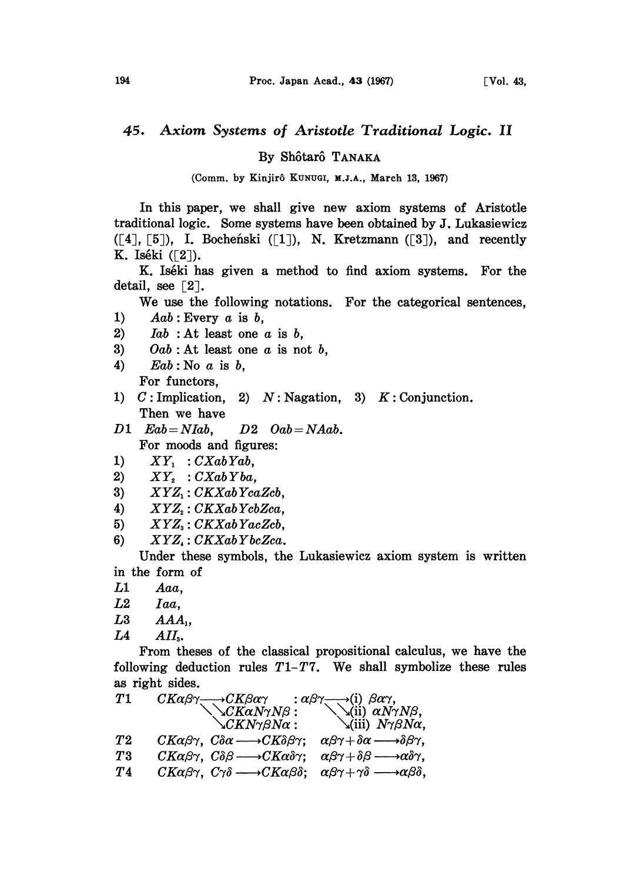## 45. Axiom Systems of Aristotle Traditional Logic. II

By Shôtarô TANAKA

(Comm. by Kinjirô KUNUGI, M.J.A., March 13, 1967)

In this paper, we shall give new axiom systems of Aristotle traditional logic. Some systems have been obtained by J. Lukasiewicz  $([4], [5])$ , I. Bocheński  $([1])$ , N. Kretzmann  $([3])$ , and recently K. Iséki  $(2)$ ).

K. Iséki has given a method to find axiom systems. For the detail, see  $\lceil 2 \rceil$ .

We use the following notations. For the categorical sentences,

- 1)  $Aab$ : Every  $a$  is  $b$ ,
- 2)  $Iab$ : At least one  $a$  is  $b$ ,
- 3) Oab : At least one  $a$  is not  $b$ ,
- 4)  $Eab$ : No  $a$  is  $b$ , For functors,
- 1)  $C:$  Implication, 2)  $N:$  Nagation, 3)  $K:$  Conjunction. Then we have
- $D1$  Eab=NIab,  $D2$  Oab=NAab. For moods and figures:
- 
- 1)  $XY_1 : CXab Yab$ ,<br>2)  $XY_2 : CXab Yba$ .  $XY_2: CXab Yba,$
- 3)  $XYZ_1: CKXabYcaZcb,$
- 4)  $XYZ$ .  $CKXabYcbZca$ ,
- 
- 5)  $XYZ_s: CKXabYacZcb,$ <br>
6)  $XYZ_s: CKXabYbcZca.$  $XYZ_{\star}: CKXabYbcZca.$

Under these symbols, the Lukasiewicz axiom system is written in the form of

- L1 Aaa,
- L2 Iaa,
- $L3$   $AAA_1$ ,
- $L4$   $AlI<sub>3</sub>$ .

From theses of the classical propositional calculus, we have the following deduction rules  $T1-T7$ . We shall symbolize these rules as right sides.

| $CK\alpha\beta\gamma$ , $C\delta\alpha \longrightarrow CK\delta\beta\gamma$ ;                                                                        | $\alpha\beta\gamma+\delta\alpha \longrightarrow \delta\beta\gamma$ ,                                                                                                                                 |
|------------------------------------------------------------------------------------------------------------------------------------------------------|------------------------------------------------------------------------------------------------------------------------------------------------------------------------------------------------------|
| $CK\alpha\beta\gamma$ , $C\delta\beta \longrightarrow CK\alpha\delta\gamma$ ;                                                                        | $\alpha\beta\gamma+\delta\beta \longrightarrow \alpha\delta\gamma$ ,                                                                                                                                 |
| $CK\alpha\beta\gamma$ , $C\gamma\delta \longrightarrow CK\alpha\beta\delta$ ; $\alpha\beta\gamma + \gamma\delta \longrightarrow \alpha\beta\delta$ , |                                                                                                                                                                                                      |
|                                                                                                                                                      | $CK\alpha\beta\gamma \longrightarrow CK\beta\alpha\gamma \longrightarrow (i)$ $\beta\alpha\gamma$ ,<br>$CK\alpha N\gamma N\beta :$<br>$CKN\gamma\beta N\alpha :$<br>$(iii)$ $N\gamma\beta N\alpha$ , |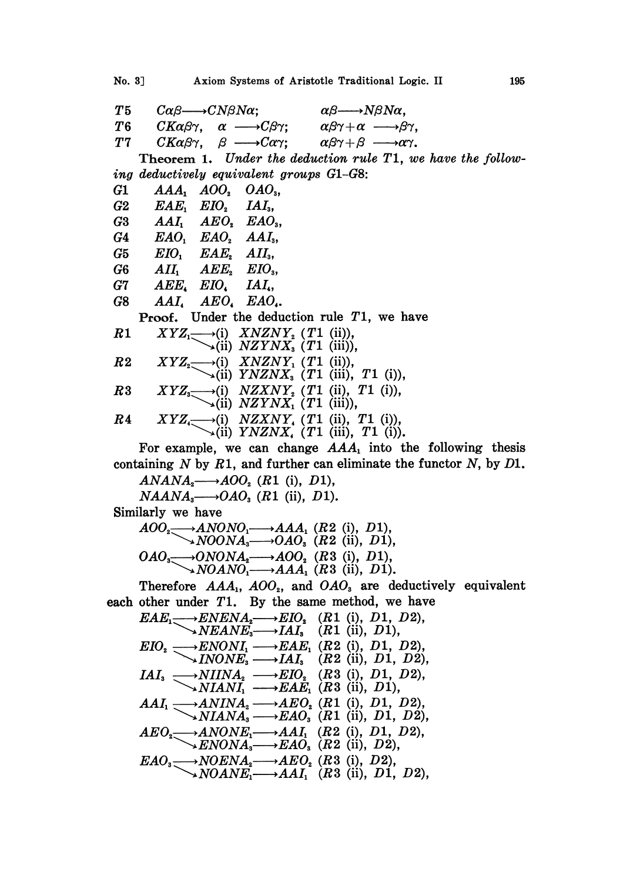No. 3] Axiom Systems of Aristotle Traditional Logic. II 195

T5  $C\alpha\beta \longrightarrow CN\beta N\alpha$ ;  $\alpha\beta \longrightarrow N\beta N\alpha$ ,  $T6$  $CK\alpha\beta\gamma$ .  $\alpha \longrightarrow C\beta\gamma;$  $\alpha\beta\gamma+\alpha \longrightarrow \beta\gamma$ . T7  $CK\alpha\beta\gamma$ ,  $\beta \longrightarrow C\alpha\gamma$ ;  $\alpha\beta\gamma+\beta \longrightarrow \alpha\gamma$ . Theorem 1. Under the deduction rule  $T1$ , we have the following deductively equivalent groups G1-GS:  $G1$   $AAA$ ,  $AOO$ ,  $OAO$ <sub>3</sub>,  $G2$   $EAE_1$   $EIO_2$   $IAI_3$ ,  $G3$   $AAI_1$   $AEO_2$   $EAO_3$ ,<br>  $G4$   $EAO_1$   $EAO_2$   $AAI_3$ ,  $EAO_1$   $EAO_2$   $AAI_3$ <br> $EIO_1$   $EAE_2$   $AII_3$ .  $G5$   $EIO$ ,  $EAE$ ,  $G6$   $AII_1$   $AEE_2$   $EIO_3$ , G7 AEE, EIO, IAL, G8 AAL AEO, EAO,. **Proof.** Under the deduction rule  $T1$ , we have  $R1$   $XYZ_1 \longrightarrow (i)$   $XNZNY_2$   $(T1$  (ii)),  $\bigvee$ (ii) *NZYNX*<sup>2</sup> (*T*1 (iii)),  $R2$   $XYZ_2 \longrightarrow (i)$   $XNZNY_1$   $(T1$   $(ii))$ ,  $\bigvee$ (ii)  $\overrightarrow{YNZNX}$  (T1 (iii), T1 (i)), R3  $XYZ_3 \longrightarrow (i)$   $NZXNY_2$  (T1 (ii), T1 (i)),<br> $\bigcup (ii)$   $NZYNX_1$  (T1 (iii)),  $R4$   $XYZ_{\scriptscriptstyle{A}} \longrightarrow$  (i)  $NZXNY_{\scriptscriptstyle{A}}$  (T1 (ii), T1 (i)),  $\sim$ (ii) YNZNX, (T1 (iii), T1 (i)). For example, we can change  $AAA_1$  into the following thesis containing N by R1, and further can eliminate the functor N, by  $D1$ .  $ANANA_2 \longrightarrow AOO_2$  (R1 (i), D1),  $NAANA_3 \longrightarrow OAO_3$  (R1 (ii), D1). Similarly we have  $AOO_2 \longrightarrow ANONO_1 \longrightarrow AAA_1$  (R2 (i), D1),  $\longrightarrow NOONA_s \longrightarrow OAO_s$  (R2 (ii), D1),  $OAO_3 \longrightarrow ONONA_2 \longrightarrow AOO_2$  (R3 (i), D1),<br> $\longrightarrow NOANO_1 \longrightarrow AAA_1$  (R3 (ii), D1). Therefore  $AAA_1$ ,  $AOO_2$ , and  $OAO_3$  are deductively equivalent each other under  $T1$ . By the same method, we have  $EAE_1 \longrightarrow ENENA_2 \longrightarrow EIO_2 \quad (R1 \ (i), \ D1, \ D2),$  $NEANE<sub>3</sub>$   $\longrightarrow$   $\overline{IAI<sub>3</sub>}$   $\qquad \qquad$   $(R1 \text{ (ii)}, D1),$  $EIO_z \longrightarrow ENONI_1 \longrightarrow EAE_1$  (R2 (i), D1, D2),  $\longrightarrow$ INONE<sub>3</sub>  $\longrightarrow$ IAI<sub>3</sub> (R<sub>2</sub> (ii), D<sub>1</sub>, D<sub>2</sub>),  $IAI_{3} \longrightarrow NIINA_{2} \longrightarrow ED_{2} \quad (R3 \text{ (i)}, D1, D2),$  $\rightarrow$ NIANI,  $\rightarrow$ EAE, (R3 (ii), D1),  $AAI_1 \longrightarrow ANINA_2 \longrightarrow AEO_2$  (R1 (i), D1, D2),  $\rightarrow$ NIAN $A_3 \rightarrow EAO_3$  (R1 (ii), D1, D2),  $AEO_2 \longrightarrow ANONE_1 \longrightarrow AAI_1$  (R2 (i), D1, D2),  $\longrightarrow$   $ENONA_3 \longrightarrow EAO_3$  (R2 (ii), D2),  $EAO_s \longrightarrow NOENA_s \longrightarrow AEO_s$  (R3 (i), D2),<br> $NOANE_s \longrightarrow AAI_s$  (R3 (ii), D1, D2),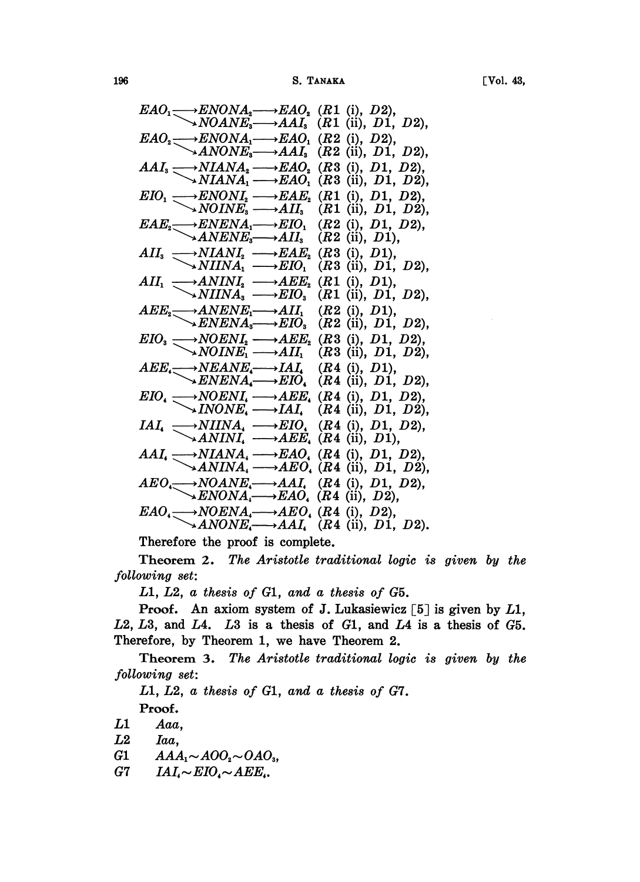| Vol. | π<br>71 |
|------|---------|
|------|---------|

| $EAO_1 \longrightarrow ENONA_2 \longrightarrow EAO_2$ (R1 (i), D2),<br>$NOANE_3 \longrightarrow AAI_3$ (R1 (ii), D1, D2),                                                                                                                |                                                                                                                           |
|------------------------------------------------------------------------------------------------------------------------------------------------------------------------------------------------------------------------------------------|---------------------------------------------------------------------------------------------------------------------------|
|                                                                                                                                                                                                                                          |                                                                                                                           |
| $EAO_2 \longrightarrow ENONA_1 \longrightarrow EAO_1$ (R2 (i), D2),<br>$\longrightarrow ANONE_3 \longrightarrow AAI_3$ (R2 (ii), D1, D2),                                                                                                |                                                                                                                           |
| $AAI_s \longrightarrow NIANA_s \longrightarrow EAO_s$ (R3 (i), D1, D2),                                                                                                                                                                  |                                                                                                                           |
|                                                                                                                                                                                                                                          | $\rightarrow NIANA_1 \rightarrow EAO_1$ (R3 (ii), D1, D2),                                                                |
|                                                                                                                                                                                                                                          |                                                                                                                           |
| $EIO_1 \longrightarrow ENONI_2 \longrightarrow EAE_2$ (R1 (i), D1, D2),<br>$\longrightarrow NOINE_3 \longrightarrow AII_3$ (R1 (ii), D1, D2),                                                                                            |                                                                                                                           |
|                                                                                                                                                                                                                                          |                                                                                                                           |
| $EAE_2 \longrightarrow ENENA_1 \longrightarrow EIO_1$ (R2 (i), D1, D2),<br>$\longrightarrow ANENE_3 \longrightarrow AII_3$ (R2 (ii), D1),                                                                                                |                                                                                                                           |
| $All_3 \longrightarrow NIANI_2 \longrightarrow EAE_2$ (R3 (i), D1),<br>$\longrightarrow NIINA_1 \longrightarrow EIO_1$ (R3 (ii), D1,                                                                                                     |                                                                                                                           |
|                                                                                                                                                                                                                                          | $(R3$ (ii), $D1, D2$ ),                                                                                                   |
| $AII_1 \longrightarrow ANINI_2 \longrightarrow AEE_2$                                                                                                                                                                                    | $(R1 \t(i), D1),$                                                                                                         |
|                                                                                                                                                                                                                                          | $\bigvee$ <i>NIINA</i> <sub>3</sub> $\longrightarrow$ <i>EIO</i> <sub>3</sub> ( <i>R</i> 1 (ii), <i>D</i> 1, <i>D</i> 2), |
| $AEE_2 \longrightarrow ANENE_1 \longrightarrow AII_1$ (R2 (i), D1),<br>$\rightarrow ENENA_3 \longrightarrow EIO_3$ (R2 (ii), D1, D2),                                                                                                    |                                                                                                                           |
|                                                                                                                                                                                                                                          |                                                                                                                           |
| $EIO_3 \longrightarrow NOENI_2 \longrightarrow AEE_2$ (R3 (i), D1, D2),                                                                                                                                                                  |                                                                                                                           |
|                                                                                                                                                                                                                                          | $\searrow N OINE_1 \longrightarrow AII_1$ (R3 (ii), D1, D2),                                                              |
| $AEE \longrightarrow NEANE \longrightarrow IAI$ , $(R4 \n(i), D1)$ ,<br>$\rightarrow ENENA \longrightarrow EIO$ , $(R4 \n(ii), D1, D2)$ ,                                                                                                |                                                                                                                           |
|                                                                                                                                                                                                                                          |                                                                                                                           |
| $EIO$ <sub>4</sub> $\longrightarrow$ NOENI <sub>4</sub> $\longrightarrow$ AEE <sub>4</sub> (R4 (i), D1, D2),<br>$\longrightarrow$ INONE <sub>4</sub> $\longrightarrow$ IAI <sub>4</sub> (R4 (ii), D1, D2),                               |                                                                                                                           |
|                                                                                                                                                                                                                                          |                                                                                                                           |
| $\begin{array}{c} IAI_{\iota} \longrightarrow NIINA_{\iota} \longrightarrow EIO_{\iota} \quad (R4 \text{ (i)}, D1, D2), \\ \diagdown \longrightarrow ANINI_{\iota} \longrightarrow AEE_{\iota} \quad (R4 \text{ (ii)}, D1), \end{array}$ |                                                                                                                           |
|                                                                                                                                                                                                                                          |                                                                                                                           |
| $AAI_{4} \longrightarrow NIANA_{4} \longrightarrow EAO_{4}$ (R4 (i), D1, D2),<br>$\longrightarrow ANINA_{4} \longrightarrow AEO_{4}$ (R4 (ii), D1, D2),                                                                                  |                                                                                                                           |
|                                                                                                                                                                                                                                          |                                                                                                                           |
| $ABO \longrightarrow NOANE \longrightarrow AAI$ , (R4 (i), D1, D2),<br>$\rightarrow ENONA \longrightarrow EAO$ , (R4 (ii), D2),                                                                                                          |                                                                                                                           |
|                                                                                                                                                                                                                                          |                                                                                                                           |
| $EAO$ <sub>4</sub> $\longrightarrow NOENA$ <sub>4</sub> $\longrightarrow AEO$ <sub>4</sub> (R4 (i), D2),                                                                                                                                 |                                                                                                                           |
|                                                                                                                                                                                                                                          | $\rightarrow ANONE \rightarrow AAI$ (R4 (ii), D1, D2).                                                                    |

Therefore the proof is complete.

Theorem 2. The Aristotle traditional logic is given by the following set:

L1, L2, a thesis of G1, and a thesis of G5.

**Proof.** An axiom system of J. Lukasiewicz  $\begin{bmatrix} 5 \end{bmatrix}$  is given by L1,  $L2$ ,  $L3$ , and  $L4$ .  $L3$  is a thesis of  $G1$ , and  $L4$  is a thesis of  $G5$ . Therefore, by Theorem 1, we have Theorem 2.

Theorem 3. The Aristotle traditional logic is given by the following set:

L1, L2, a thesis of G1, and a thesis of G7.

Proof.

L1 Aaa,

- L2 Iaa,
- G1  $AAA_1 \sim AOO_2 \sim OAO_3$ ,
- G7  $IAI \sim EIO \sim AEE$ .